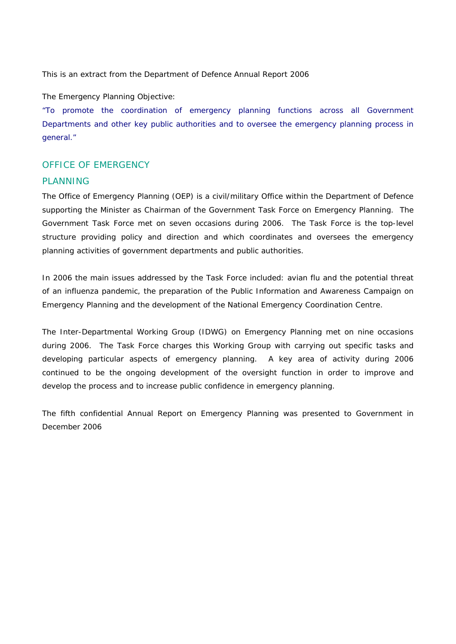This is an extract from the Department of Defence Annual Report 2006

The Emergency Planning Objective:

"To promote the coordination of emergency planning functions across all Government Departments and other key public authorities and to oversee the emergency planning process in general."

## *OFFICE OF EMERGENCY*

## *PLANNING*

The Office of Emergency Planning (OEP) is a civil/military Office within the Department of Defence supporting the Minister as Chairman of the Government Task Force on Emergency Planning. The Government Task Force met on seven occasions during 2006. The Task Force is the top-level structure providing policy and direction and which coordinates and oversees the emergency planning activities of government departments and public authorities.

In 2006 the main issues addressed by the Task Force included: avian flu and the potential threat of an influenza pandemic, the preparation of the Public Information and Awareness Campaign on Emergency Planning and the development of the National Emergency Coordination Centre.

The Inter-Departmental Working Group (IDWG) on Emergency Planning met on nine occasions during 2006. The Task Force charges this Working Group with carrying out specific tasks and developing particular aspects of emergency planning. A key area of activity during 2006 continued to be the ongoing development of the oversight function in order to improve and develop the process and to increase public confidence in emergency planning.

The fifth confidential Annual Report on Emergency Planning was presented to Government in December 2006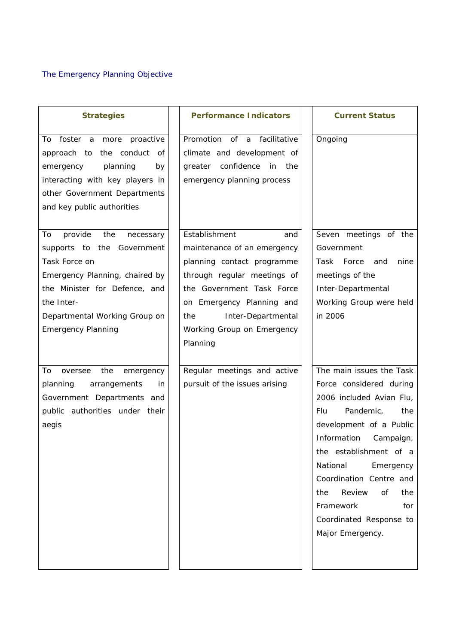| <b>Strategies</b>                                                                                                                                                                                                               | <b>Performance Indicators</b>                                                                                                                                                                                                                     | <b>Current Status</b>                                                                                                                                                                                                                                                                                                                             |
|---------------------------------------------------------------------------------------------------------------------------------------------------------------------------------------------------------------------------------|---------------------------------------------------------------------------------------------------------------------------------------------------------------------------------------------------------------------------------------------------|---------------------------------------------------------------------------------------------------------------------------------------------------------------------------------------------------------------------------------------------------------------------------------------------------------------------------------------------------|
| To<br>foster a more<br>proactive<br>the conduct of<br>approach to<br>emergency<br>planning<br>by<br>interacting with key players in<br>other Government Departments<br>and key public authorities                               | Promotion of a<br>facilitative<br>climate and development of<br>greater confidence<br>in<br>the<br>emergency planning process                                                                                                                     | Ongoing                                                                                                                                                                                                                                                                                                                                           |
| To<br>provide<br>the<br>necessary<br>supports to the Government<br>Task Force on<br>Emergency Planning, chaired by<br>the Minister for Defence, and<br>the Inter-<br>Departmental Working Group on<br><b>Emergency Planning</b> | Establishment<br>and<br>maintenance of an emergency<br>planning contact programme<br>through regular meetings of<br>the Government Task Force<br>on Emergency Planning and<br>Inter-Departmental<br>the<br>Working Group on Emergency<br>Planning | Seven meetings of the<br>Government<br>Task<br>Force<br>nine<br>and<br>meetings of the<br>Inter-Departmental<br>Working Group were held<br>in 2006                                                                                                                                                                                                |
| To<br>the<br>oversee<br>emergency<br>planning<br>arrangements<br>in<br>Government Departments and<br>public authorities under their<br>aegis                                                                                    | Regular meetings and active<br>pursuit of the issues arising                                                                                                                                                                                      | The main issues the Task<br>Force considered during<br>2006 included Avian Flu,<br>Pandemic,<br>Flu.<br>the<br>development of a Public<br>Information<br>Campaign,<br>the establishment of a<br>National<br>Emergency<br>Coordination Centre and<br>Review<br>of<br>the<br>the<br>Framework<br>for<br>Coordinated Response to<br>Major Emergency. |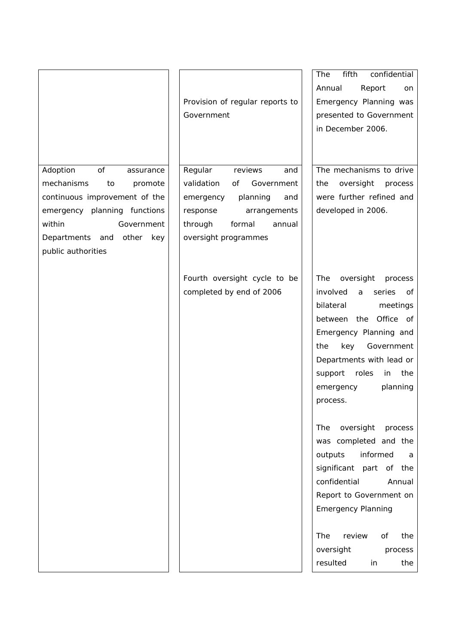Adoption of assurance mechanisms to promote continuous improvement of the emergency planning functions within Government Departments and other key public authorities

Provision of regular reports to Government

 Regular reviews and validation of Government emergency planning and response arrangements through formal annual oversight programmes

Fourth oversight cycle to be completed by end of 2006

The fifth confidential Annual Report on Emergency Planning was presented to Government in December 2006.

 The mechanisms to drive the oversight process were further refined and developed in 2006.

The oversight process involved a series of bilateral meetings between the Office of Emergency Planning and the key Government Departments with lead or support roles in the emergency planning process.

The oversight process was completed and the outputs informed a significant part of the confidential Annual Report to Government on Emergency Planning

The review of the oversight process resulted in the